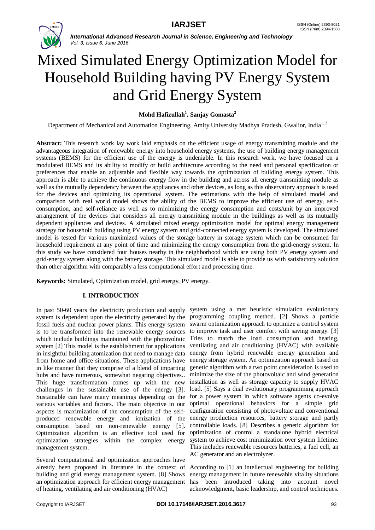

# Mixed Simulated Energy Optimization Model for Household Building having PV Energy System and Grid Energy System

# **Mohd Hafizullah<sup>1</sup> , Sanjay Gomasta<sup>2</sup>**

Department of Mechanical and Automation Engineering, Amity University Madhya Pradesh, Gwalior, India<sup>1, 2</sup>

**Abstract:** This research work lay work laid emphasis on the efficient usage of energy transmitting module and the advantageous integration of renewable energy into household energy systems, the use of building energy management systems (BEMS) for the efficient use of the energy is undeniable. In this research work, we have focused on a modulated BEMS and its ability to modify or build architecture according to the need and personal specification or preferences that enable an adjustable and flexible way towards the optimization of building energy system. This approach is able to achieve the continuous energy flow in the building and across all energy transmitting module as well as the mutually dependency between the appliances and other devices, as long as this observatory approach is used for the devices and optimizing its operational system. The estimations with the help of simulated model and comparison with real world model shows the ability of the BEMS to improve the efficient use of energy, selfconsumption, and self-reliance as well as to minimizing the energy consumption and costs/unit by an improved arrangement of the devices that considers all energy transmitting module in the buildings as well as its mutually dependent appliances and devices. A simulated mixed energy optimization model for optimal energy management strategy for household building using PV energy system and grid-connected energy system is developed. The simulated model is tested for various maximized values of the storage battery in storage system which can be consumed for household requirement at any point of time and minimizing the energy consumption from the grid-energy system. In this study we have considered four houses nearby in the neighborhood which are using both PV energy system and grid-energy system along with the battery storage. This simulated model is able to provide us with satisfactory solution than other algorithm with comparably a less computational effort and processing time.

**Keywords:** Simulated, Optimization model, grid energy, PV energy.

# **I. INTRODUCTION**

system is dependent upon the electricity generated by the programming coupling method. [2] Shows a particle fossil fuels and nuclear power plants. This energy system swarm optimization approach to optimize a control system is to be transformed into the renewable energy sources to improve task and user comfort with saving energy. [3] which include buildings maintained with the photovoltaic Tries to match the load consumption and heating, system [2] This model is the establishment for applications in insightful building atomization that need to manage data from home and office situations. These applications have in like manner that they comprise of a blend of imparting genetic algorithm with a two point consideration is used to hubs and have numerous, somewhat negating objectives.. minimize the size of the photovoltaic and wind generation This huge transformation comes up with the new installation as well as storage capacity to supply HVAC challenges in the sustainable use of the energy [3]. load. [5] Says a dual evolutionary programming approach Sustainable can have many meanings depending on the for a power system in which software agents co-evolve various variables and factors. The main objective in our optimal operational behaviors for a simple grid aspects is maximization of the consumption of the selfproduced renewable energy and ionization of the energy production resources, battery storage and partly consumption based on non-renewable energy [5]. Optimization algorithm is an effective tool used for optimization strategies within the complex energy management system.

Several computational and optimization approaches have already been proposed in literature in the context of According to [1] an intellectual engineering for building building and grid energy management system. [8] Shows an optimization approach for efficient energy management has been introduced taking into account novel of heating, ventilating and air conditioning (HVAC)

In past 50-60 years the electricity production and supply system using a met heuristic simulation evolutionary ventilating and air conditioning (HVAC) with available energy from hybrid renewable energy generation and energy storage system. An optimization approach based on configuration consisting of photovoltaic and conventional controllable loads. [8] Describes a genetic algorithm for optimization of control a standalone hybrid electrical system to achieve cost minimization over system lifetime. This includes renewable resources batteries, a fuel cell, an AC generator and an electrolyzer.

> energy management in future renewable vitality situations acknowledgment, basic leadership, and control techniques.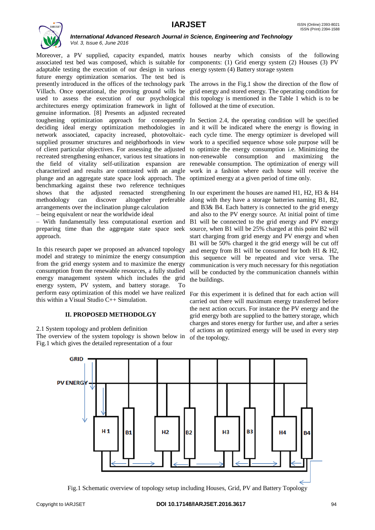

Moreover, a PV supplied, capacity expanded, matrix houses nearby which consists of the following associated test bed was composed, which is suitable for components: (1) Grid energy system (2) Houses (3) PV adaptable testing the execution of our design in various energy system (4) Battery storage system future energy optimization scenarios. The test bed is presently introduced in the offices of the technology park The arrows in the Fig.1 show the direction of the flow of Villach. Once operational, the proving ground wills be used to assess the execution of our psychological this topology is mentioned in the Table 1 which is to be architectures energy optimization framework in light of followed at the time of execution. genuine information. [8] Presents an adjusted recreated toughening optimization approach for consequently In Section 2.4, the operating condition will be specified deciding ideal energy optimization methodologies in and it will be indicated where the energy is flowing in network associated, capacity increased, photovoltaic-each cycle time. The energy optimizer is developed will supplied prosumer structures and neighborhoods in view work to a specified sequence whose sole purpose will be of client particular objectives. For assessing the adjusted to optimize the energy consumption i.e. Minimizing the recreated strengthening enhancer, various test situations in non-renewable consumption and maximizing the the field of vitality self-utilization expansion are renewable consumption. The optimization of energy will characterized and results are contrasted with an angle work in a fashion where each house will receive the plunge and an aggregate state space look approach. The optimized energy at a given period of time only. benchmarking against these two reference techniques shows that the adjusted reenacted strengthening In our experiment the houses are named H1, H2, H3  $\&$  H4 methodology can discover altogether arrangements over the inclination plunge calculation – being equivalent or near the worldwide ideal

– With fundamentally less computational exertion and B1 will be connected to the grid energy and PV energy preparing time than the aggregate state space seek approach.

In this research paper we proposed an advanced topology model and strategy to minimize the energy consumption from the grid energy system and to maximize the energy consumption from the renewable resources, a fully studied energy management system which includes the grid energy system, PV system, and battery storage. To perform easy optimization of this model we have realized this within a Visual Studio C++ Simulation.

#### **II. PROPOSED METHODOLGY**

2.1 System topology and problem definition The overview of the system topology is shown below in Fig.1 which gives the detailed representation of a four

grid energy and stored energy. The operating condition for

preferable along with they have a storage batteries naming B1, B2, and B3& B4. Each battery is connected to the grid energy and also to the PV energy source. At initial point of time source, when B1 will be 25% charged at this point B2 will start charging from grid energy and PV energy and when B1 will be 50% charged it the grid energy will be cut off and energy from B1 will be consumed for both H1 & H2, this sequence will be repeated and vice versa. The communication is very much necessary for this negotiation will be conducted by the communication channels within the buildings.

> For this experiment it is defined that for each action will carried out there will maximum energy transferred before the next action occurs. For instance the PV energy and the grid energy both are supplied to the battery storage, which charges and stores energy for further use, and after a series of actions an optimized energy will be used in every step of the topology.



Fig.1 Schematic overview of topology setup including Houses, Grid, PV and Battery Topology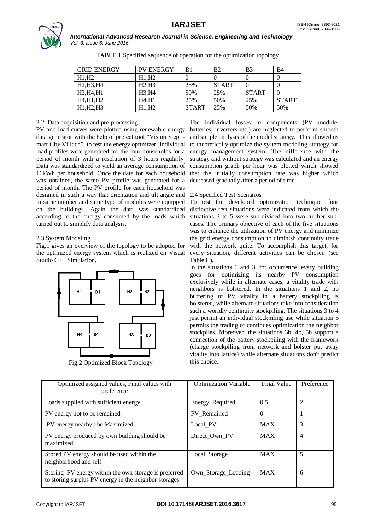

| <b>GRID ENERGY</b>                               | <b>PV ENERGY</b> | B1           | B <sub>2</sub> | <b>B</b> 3   | <b>B</b> 4   |
|--------------------------------------------------|------------------|--------------|----------------|--------------|--------------|
| H1.H2                                            | H1.H2            |              |                | $\theta$     | $\theta$     |
| H <sub>2</sub> , H <sub>3</sub> , H <sub>4</sub> | H2.H3            | 25%          | <b>START</b>   |              | $\theta$     |
| H3, H4, H1                                       | H3.H4            | 50%          | 25%            | <b>START</b> | $\Omega$     |
| H4,H1,H2                                         | H4.H1            | 25%          | 50%            | 25%          | <b>START</b> |
| H1.H2.H3                                         | H1.H2            | <b>START</b> | 25%            | 50%          | 50%          |

TABLE 1 Specified sequence of operation for the optimization topology

# 2.2. Data acquisition and pre-processing

PV and load curves were plotted using renewable energy batteries, inverters etc.) are neglected to perform smooth data generator with the help of project tool "Vision Step Imart City Villach" to test the energy optimizer. Individual load profiles were generated for the four households for a period of month with a resolution of 3 hours regularly. Data was standardized to yield an average consumption of 16kWh per household. Once the data for each household was obtained, the same PV profile was generated for a period of month. The PV profile for each household was designed in such a way that orientation and tilt angle and in same number and same type of modules were equipped on the buildings. Again the data was standardized according to the energy consumed by the loads which turned out to simplify data analysis.

#### 2.3 System Modeling

Fig.1 gives an overview of the topology to be adopted for the optimized energy system which is realized on Visual Studio C++ Simulation.



Fig.2 Optimized Block Topology

The individual losses in components (PV module, and simple analysis of the model strategy. This allowed us to theoretically optimize the system modeling strategy for energy management system. The difference with the strategy and without strategy was calculated and an energy consumption graph per hour was plotted which showed that the initially consumption rate was higher which decreased gradually after a period of time.

#### 2.4 Specified Test Scenarios

To test the developed optimization technique, four distinctive test situations were indicated from which the situations 3 to 5 were sub-divided into two further subcases. The primary objective of each of the five situations was to enhance the utilization of PV energy and minimize the grid energy consumption to diminish continuity trade with the network quite. To accomplish this target, for every situation, different activities can be chosen (see Table II).

In the situations 1 and 3, for occurrence, every building goes for optimizing its nearby PV consumption exclusively while in alternate cases, a vitality trade with neighbors is bolstered. In the situations 1 and 2, no buffering of PV vitality in a battery stockpiling is bolstered, while alternate situations take into consideration such a worldly continuity stockpiling. The situations 3 to 4 just permit an individual stockpiling use while situation 5 permits the trading of continues optimization the neighbor stockpiles. Moreover, the situations 3b, 4b, 5b support a connection of the battery stockpiling with the framework (charge stockpiling from network and bolster put away vitality into lattice) while alternate situations don't predict this choice.

| Optimized assigned values, Final values with<br>preference                                                     | <b>Optimization Variable</b> | <b>Final Value</b> | Preference |
|----------------------------------------------------------------------------------------------------------------|------------------------------|--------------------|------------|
| Loads supplied with sufficient energy                                                                          | Energy_Required              | 0.5                | 2          |
| PV energy not to be remained                                                                                   | PV Remained                  | $\Omega$           |            |
| PV energy nearby t be Maximized                                                                                | Local PV                     | <b>MAX</b>         | 3          |
| PV energy produced by own building should be<br>maximized                                                      | Direct Own PV                | <b>MAX</b>         | 4          |
| Stored PV energy should be used within the<br>neighborhood and self                                            | Local Storage                | <b>MAX</b>         | 5          |
| Storing PV energy within the own storage is preferred<br>to storing surplus PV energy in the neighbor storages | Own_Storage_Loading          | <b>MAX</b>         | 6          |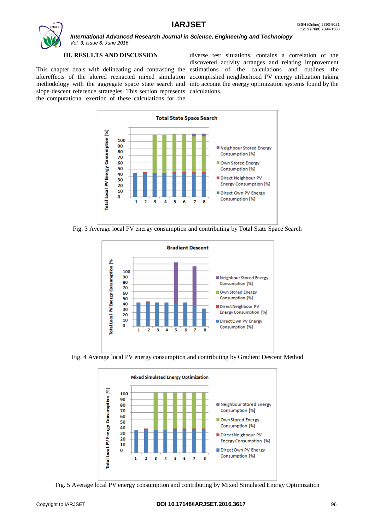

# **III. RESULTS AND DISCUSSION**

This chapter deals with delineating and contrasting the estimations of the calculations and outlines the aftereffects of the altered reenacted mixed simulation accomplished neighborhood PV energy utilization taking methodology with the aggregate space state search and into account the energy optimization systems found by the slope descent reference strategies. This section represents calculations. the computational exertion of these calculations for the

diverse test situations, contains a correlation of the discovered activity arranges and relating improvement



Fig. 3 Average local PV energy consumption and contributing by Total State Space Search



Fig. 4 Average local PV energy consumption and contributing by Gradient Descent Method



Fig. 5 Average local PV energy consumption and contributing by Mixed Simulated Energy Optimization